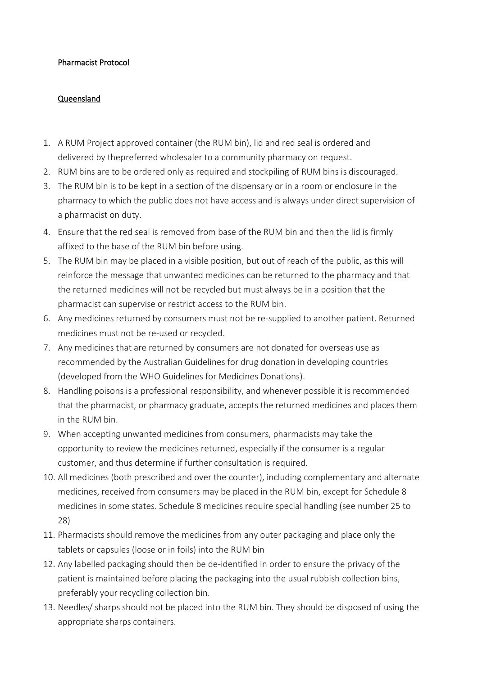## Pharmacist Protocol

## Queensland

- 1. A RUM Project approved container (the RUM bin), lid and red seal is ordered and delivered by the preferred wholesaler to a community pharmacy on request.
- 2. RUM bins are to be ordered only as required and stockpiling of RUM bins is discouraged.
- 3. The RUM bin is to be kept in a section of the dispensary or in a room or enclosure in the pharmacy to which the public does not have access and is always under direct supervision of a pharmacist on duty.
- 4. Ensure that the red seal is removed from base of the RUM bin and then the lid is firmly affixed to the base of the RUM bin before using.
- 5. The RUM bin may be placed in a visible position, but out of reach of the public, as this will reinforce the message that unwanted medicines can be returned to the pharmacy and that the returned medicines will not be recycled but must always be in a position that the pharmacist can supervise or restrict access to the RUM bin.
- 6. Any medicines returned by consumers must not be re-supplied to another patient. Returned medicines must not be re-used or recycled.
- 7. Any medicines that are returned by consumers are not donated for overseas use as recommended by the Australian Guidelines for drug donation in developing countries (developed from the WHO Guidelines for Medicines Donations).
- 8. Handling poisons is a professional responsibility, and whenever possible it is recommended that the pharmacist, or pharmacy graduate, accepts the returned medicines and places them in the RUM bin.
- 9. When accepting unwanted medicines from consumers, pharmacists may take the opportunity to review the medicines returned, especially if the consumer is a regular customer, and thus determine if further consultation is required.
- 10. All medicines (both prescribed and over the counter), including complementary and alternate medicines, received from consumers may be placed in the RUM bin, except for Schedule 8 medicines in some states. Schedule 8 medicines require special handling (see number 25 to 28)
- 11. Pharmacists should remove the medicines from any outer packaging and place only the tablets or capsules (loose or in foils) into the RUM bin
- 12. Any labelled packaging should then be de-identified in order to ensure the privacy of the patient is maintained before placing the packaging into the usual rubbish collection bins, preferably your recycling collection bin.
- 13. Needles/ sharps should not be placed into the RUM bin. They should be disposed of using the appropriate sharps containers.